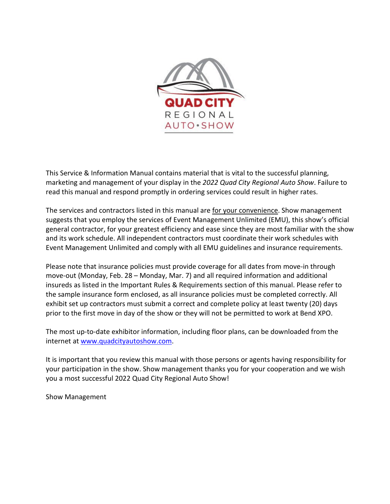

This Service & Information Manual contains material that is vital to the successful planning, marketing and management of your display in the *2022 Quad City Regional Auto Show*. Failure to read this manual and respond promptly in ordering services could result in higher rates.

The services and contractors listed in this manual are for your convenience. Show management suggests that you employ the services of Event Management Unlimited (EMU), this show's official general contractor, for your greatest efficiency and ease since they are most familiar with the show and its work schedule. All independent contractors must coordinate their work schedules with Event Management Unlimited and comply with all EMU guidelines and insurance requirements.

Please note that insurance policies must provide coverage for all dates from move-in through move-out (Monday, Feb. 28 – Monday, Mar. 7) and all required information and additional insureds as listed in the Important Rules & Requirements section of this manual. Please refer to the sample insurance form enclosed, as all insurance policies must be completed correctly. All exhibit set up contractors must submit a correct and complete policy at least twenty (20) days prior to the first move in day of the show or they will not be permitted to work at Bend XPO.

The most up-to-date exhibitor information, including floor plans, can be downloaded from the internet a[t www.quadcityautoshow.com.](http://www.quadcityautoshow.com/)

It is important that you review this manual with those persons or agents having responsibility for your participation in the show. Show management thanks you for your cooperation and we wish you a most successful 2022 Quad City Regional Auto Show!

Show Management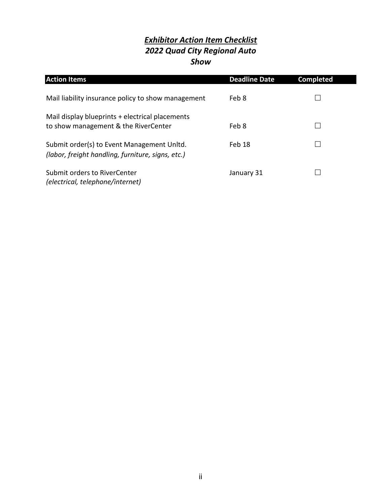# *Exhibitor Action Item Checklist 2022 Quad City Regional Auto Show*

| <b>Action Items</b>                                                                             | <b>Deadline Date</b> | <b>Completed</b> |
|-------------------------------------------------------------------------------------------------|----------------------|------------------|
| Mail liability insurance policy to show management                                              | Feb 8                |                  |
| Mail display blueprints + electrical placements<br>to show management & the RiverCenter         | Feb 8                |                  |
| Submit order(s) to Event Management Unltd.<br>(labor, freight handling, furniture, signs, etc.) | Feb 18               |                  |
| Submit orders to RiverCenter<br>(electrical, telephone/internet)                                | January 31           |                  |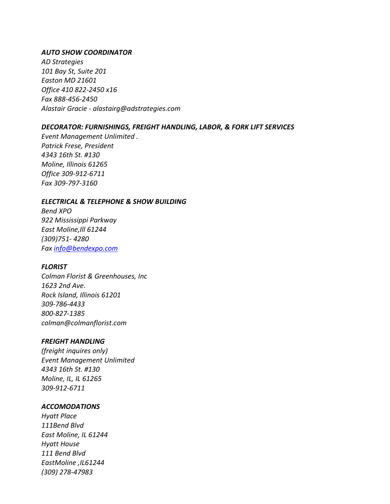#### *AUTO SHOW COORDINATOR*

*AD Strategies 101 Bay St, Suite 201 Easton MD 21601 Office 410 822-2450 x16 Fax 888-456-2450 Alastair Gracie - alastairg@adstrategies.com*

#### *DECORATOR: FURNISHINGS, FREIGHT HANDLING, LABOR, & FORK LIFT SERVICES*

*Event Management Unlimited . Patrick Frese, President 4343 16th St. #130 Moline, Illinois 61265 Office 309-912-6711 Fax 309-797-3160*

#### *ELECTRICAL & TELEPHONE & SHOW BUILDING*

*Bend XPO 922 Mississippi Parkway East Moline,Ill 61244 (309)751- 4280 Fax [info@bendexpo.com](mailto:info@bendexpo.com)*

#### *FLORIST*

*Colman Florist & Greenhouses, Inc 1623 2nd Ave. Rock Island, Illinois 61201 309-786-4433 800-827-1385 colman@colmanflorist.com*

#### *FREIGHT HANDLING*

*(freight inquires only) Event Management Unlimited 4343 16th St. #130 Moline, IL, IL 61265 309-912-6711*

#### *ACCOMODATIONS*

*Hyatt Place 111Bend Blvd East Moline, IL 61244 Hyatt House 111 Bend Blvd EastMoline ,IL61244 (309) 278-47983*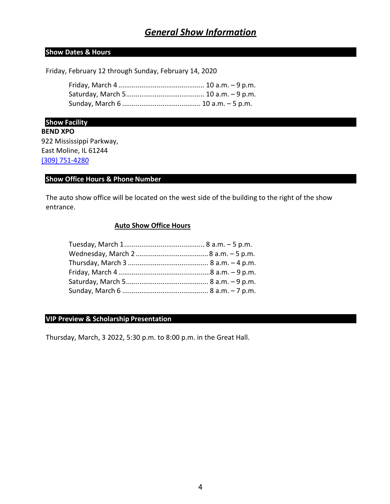# *General Show Information*

### **Show Dates & Hours**

Friday, February 12 through Sunday, February 14, 2020

**Show Facility**

**BEND XPO** 922 Mississippi Parkway, East Moline, IL 61244 [\(309\) 751-4280](https://www.google.com/search?client=firefox-b-1-d&q=bend+xpo)

## **Show Office Hours & Phone Number**

The auto show office will be located on the west side of the building to the right of the show entrance.

#### **Auto Show Office Hours**

## **VIP Preview & Scholarship Presentation**

Thursday, March, 3 2022, 5:30 p.m. to 8:00 p.m. in the Great Hall.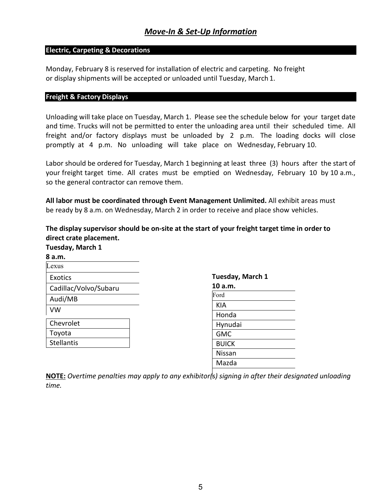## **Electric, Carpeting & Decorations**

Monday, February 8 is reserved for installation of electric and carpeting. No freight or display shipments will be accepted or unloaded until Tuesday, March 1.

### **Freight & Factory Displays**

Unloading will take place on Tuesday, March 1. Please see the schedule below for your target date and time. Trucks will not be permitted to enter the unloading area until their scheduled time. All freight and/or factory displays must be unloaded by 2 p.m. The loading docks will close promptly at 4 p.m. No unloading will take place on Wednesday, February 10.

Labor should be ordered for Tuesday, March 1 beginning at least three (3) hours after the start of your freight target time. All crates must be emptied on Wednesday, February 10 by 10 a.m., so the general contractor can remove them.

**All labor must be coordinated through Event Management Unlimited.** All exhibit areas must be ready by 8 a.m. on Wednesday, March 2 in order to receive and place show vehicles.

**The display supervisor should be on-site at the start of your freight target time in order to direct crate placement. Tuesday, March 1**

| , acsaay, ividi cii ± |  |
|-----------------------|--|
| 8 a.m.                |  |
| exus                  |  |
| Exotics               |  |
| Cadillac/Volvo/Subaru |  |
| Audi/MB               |  |
| VW                    |  |
| Chevrolet             |  |
| Toyota                |  |
| <b>Stellantis</b>     |  |

**Tuesday, March 1**

| 10 a.m.                     |
|-----------------------------|
| $\overline{\mathrm{F}}$ ord |
| KIA                         |
| Honda                       |
| Hynudai                     |
| <b>GMC</b>                  |
| <b>BUICK</b>                |
| Nissan                      |
| Mazda                       |
|                             |

**NOTE:** *Overtime penalties may apply to any exhibitor(s) signing in after their designated unloading time.*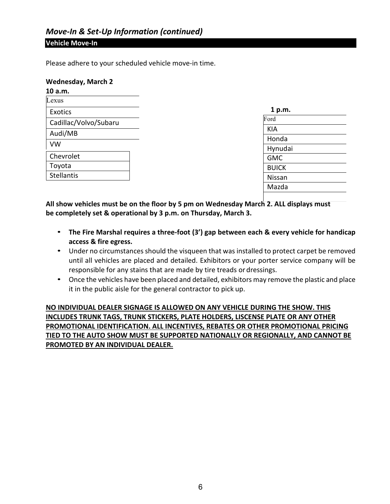#### **Vehicle Move-In**

Please adhere to your scheduled vehicle move-in time.

#### **Wednesday, March 2**

| 10 a.m.               |  |
|-----------------------|--|
| Lexus                 |  |
| Exotics               |  |
| Cadillac/Volvo/Subaru |  |
| Audi/MB               |  |
| VW                    |  |
| Chevrolet             |  |
| Toyota                |  |
| <b>Stellantis</b>     |  |

| 1 p.m.        |  |
|---------------|--|
| Ford          |  |
| KIA           |  |
| Honda         |  |
| Hynudai       |  |
| <b>GMC</b>    |  |
| <b>BUICK</b>  |  |
| <b>Nissan</b> |  |
| Mazda         |  |
|               |  |

**All show vehicles must be on the floor by 5 pm on Wednesday March 2. ALL displays must be completely set & operational by 3 p.m. on Thursday, March 3.**

- **The Fire Marshal requires a three-foot (3') gap between each & every vehicle for handicap access & fire egress.**
- Under no circumstances should the visqueen that was installed to protect carpet be removed until all vehicles are placed and detailed. Exhibitors or your porter service company will be responsible for any stains that are made by tire treads or dressings.
- Once the vehicles have been placed and detailed, exhibitors may remove the plastic and place it in the public aisle for the general contractor to pick up.

**NO INDIVIDUAL DEALER SIGNAGE IS ALLOWED ON ANY VEHICLE DURING THE SHOW. THIS INCLUDES TRUNK TAGS, TRUNK STICKERS, PLATE HOLDERS, LISCENSE PLATE OR ANY OTHER PROMOTIONAL IDENTIFICATION. ALL INCENTIVES, REBATES OR OTHER PROMOTIONAL PRICING TIED TO THE AUTO SHOW MUST BE SUPPORTED NATIONALLY OR REGIONALLY, AND CANNOT BE PROMOTED BY AN INDIVIDUAL DEALER.**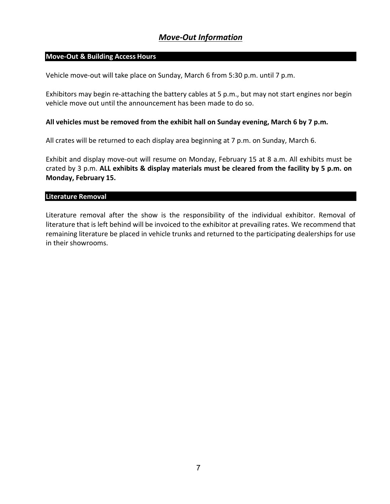# *Move-Out Information*

## **Move-Out & Building Access Hours**

Vehicle move-out will take place on Sunday, March 6 from 5:30 p.m. until 7 p.m.

Exhibitors may begin re-attaching the battery cables at 5 p.m., but may not start engines nor begin vehicle move out until the announcement has been made to do so.

#### **All vehicles must be removed from the exhibit hall on Sunday evening, March 6 by 7 p.m.**

All crates will be returned to each display area beginning at 7 p.m. on Sunday, March 6.

Exhibit and display move-out will resume on Monday, February 15 at 8 a.m. All exhibits must be crated by 3 p.m. **ALL exhibits & display materials must be cleared from the facility by 5 p.m. on Monday, February 15.**

#### **Literature Removal**

Literature removal after the show is the responsibility of the individual exhibitor. Removal of literature that is left behind will be invoiced to the exhibitor at prevailing rates. We recommend that remaining literature be placed in vehicle trunks and returned to the participating dealerships for use in their showrooms.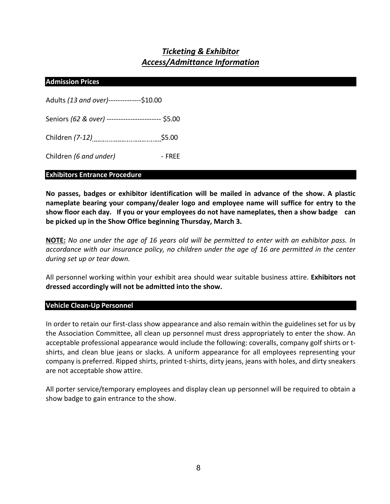# *Ticketing & Exhibitor Access/Admittance Information*

#### **Admission Prices**

| Adults (13 and over)--------------\$10.00           |        |
|-----------------------------------------------------|--------|
| Seniors (62 & over) ------------------------ \$5.00 |        |
|                                                     | \$5.00 |
| Children (6 and under)                              | - FREE |

#### **Exhibitors Entrance Procedure**

**No passes, badges or exhibitor identification will be mailed in advance of the show. A plastic nameplate bearing your company/dealer logo and employee name will suffice for entry to the show floor each day. If you or your employees do not have nameplates, then a show badge can be picked up in the Show Office beginning Thursday, March 3.**

**NOTE:** *No one under the age of 16 years old will be permitted to enter with an exhibitor pass. In accordance with our insurance policy, no children under the age of 16 are permitted in the center during set up or tear down.*

All personnel working within your exhibit area should wear suitable business attire. **Exhibitors not dressed accordingly will not be admitted into the show.**

#### **Vehicle Clean-Up Personnel**

In order to retain our first-class show appearance and also remain within the guidelines set for us by the Association Committee, all clean up personnel must dress appropriately to enter the show. An acceptable professional appearance would include the following: coveralls, company golf shirts or tshirts, and clean blue jeans or slacks. A uniform appearance for all employees representing your company is preferred. Ripped shirts, printed t-shirts, dirty jeans, jeans with holes, and dirty sneakers are not acceptable show attire.

All porter service/temporary employees and display clean up personnel will be required to obtain a show badge to gain entrance to the show.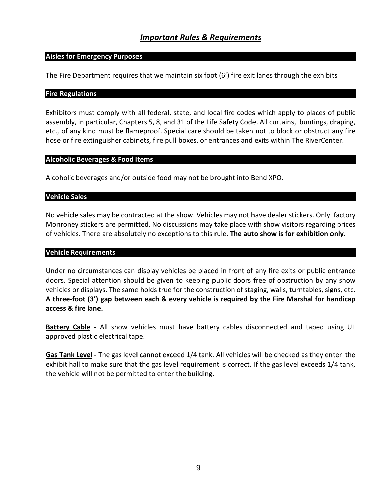# *Important Rules & Requirements*

#### **Aisles for Emergency Purposes**

The Fire Department requires that we maintain six foot (6') fire exit lanes through the exhibits

#### **Fire Regulations**

Exhibitors must comply with all federal, state, and local fire codes which apply to places of public assembly, in particular, Chapters 5, 8, and 31 of the Life Safety Code. All curtains, buntings, draping, etc., of any kind must be flameproof. Special care should be taken not to block or obstruct any fire hose or fire extinguisher cabinets, fire pull boxes, or entrances and exits within The RiverCenter.

#### **Alcoholic Beverages & Food Items**

Alcoholic beverages and/or outside food may not be brought into Bend XPO.

#### **Vehicle Sales**

No vehicle sales may be contracted at the show. Vehicles may not have dealer stickers. Only factory Monroney stickers are permitted. No discussions may take place with show visitors regarding prices of vehicles. There are absolutely no exceptions to this rule. **The auto show is for exhibition only.**

#### **Vehicle Requirements**

Under no circumstances can display vehicles be placed in front of any fire exits or public entrance doors. Special attention should be given to keeping public doors free of obstruction by any show vehicles or displays. The same holds true for the construction of staging, walls, turntables, signs, etc. **A three-foot (3') gap between each & every vehicle is required by the Fire Marshal for handicap access & fire lane.**

**Battery Cable -** All show vehicles must have battery cables disconnected and taped using UL approved plastic electrical tape.

**Gas Tank Level -** The gas level cannot exceed 1/4 tank. All vehicles will be checked as they enter the exhibit hall to make sure that the gas level requirement is correct. If the gas level exceeds 1/4 tank, the vehicle will not be permitted to enter the building.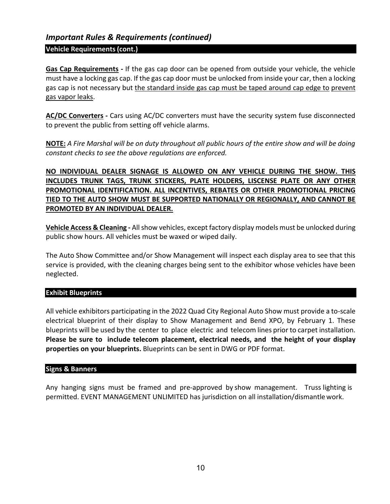# *Important Rules & Requirements (continued)*

### **Vehicle Requirements(cont.)**

**Gas Cap Requirements -** If the gas cap door can be opened from outside your vehicle, the vehicle must have a locking gas cap. If the gas cap door must be unlocked from inside your car, then a locking gas cap is not necessary but the standard inside gas cap must be taped around cap edge to prevent gas vapor leaks.

**AC/DC Converters -** Cars using AC/DC converters must have the security system fuse disconnected to prevent the public from setting off vehicle alarms.

**NOTE:** *A Fire Marshal will be on duty throughout all public hours of the entire show and will be doing constant checks to see the above regulations are enforced.*

# **NO INDIVIDUAL DEALER SIGNAGE IS ALLOWED ON ANY VEHICLE DURING THE SHOW. THIS INCLUDES TRUNK TAGS, TRUNK STICKERS, PLATE HOLDERS, LISCENSE PLATE OR ANY OTHER PROMOTIONAL IDENTIFICATION. ALL INCENTIVES, REBATES OR OTHER PROMOTIONAL PRICING TIED TO THE AUTO SHOW MUST BE SUPPORTED NATIONALLY OR REGIONALLY, AND CANNOT BE PROMOTED BY AN INDIVIDUAL DEALER.**

**Vehicle Access & Cleaning -** All show vehicles, except factory display models must be unlocked during public show hours. All vehicles must be waxed or wiped daily.

The Auto Show Committee and/or Show Management will inspect each display area to see that this service is provided, with the cleaning charges being sent to the exhibitor whose vehicles have been neglected.

#### **Exhibit Blueprints**

All vehicle exhibitors participating in the 2022 Quad City Regional Auto Show must provide a to-scale electrical blueprint of their display to Show Management and Bend XPO, by February 1. These blueprints will be used by the center to place electric and telecom lines prior to carpet installation. **Please be sure to include telecom placement, electrical needs, and the height of your display properties on your blueprints.** Blueprints can be sent in DWG or PDF format.

## **Signs & Banners**

Any hanging signs must be framed and pre-approved by show management. Truss lighting is permitted. EVENT MANAGEMENT UNLIMITED has jurisdiction on all installation/dismantlework.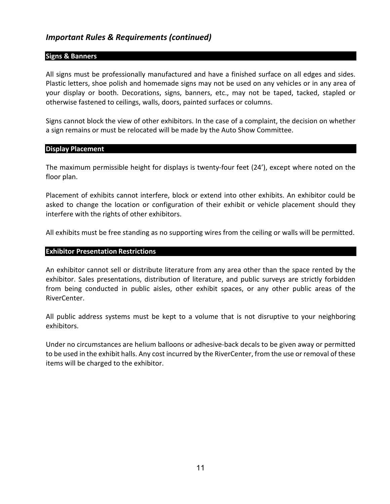# *Important Rules & Requirements (continued)*

#### **Signs & Banners**

All signs must be professionally manufactured and have a finished surface on all edges and sides. Plastic letters, shoe polish and homemade signs may not be used on any vehicles or in any area of your display or booth. Decorations, signs, banners, etc., may not be taped, tacked, stapled or otherwise fastened to ceilings, walls, doors, painted surfaces or columns.

Signs cannot block the view of other exhibitors. In the case of a complaint, the decision on whether a sign remains or must be relocated will be made by the Auto Show Committee.

#### **Display Placement**

The maximum permissible height for displays is twenty-four feet (24'), except where noted on the floor plan.

Placement of exhibits cannot interfere, block or extend into other exhibits. An exhibitor could be asked to change the location or configuration of their exhibit or vehicle placement should they interfere with the rights of other exhibitors.

All exhibits must be free standing as no supporting wires from the ceiling or walls will be permitted.

#### **Exhibitor Presentation Restrictions**

An exhibitor cannot sell or distribute literature from any area other than the space rented by the exhibitor. Sales presentations, distribution of literature, and public surveys are strictly forbidden from being conducted in public aisles, other exhibit spaces, or any other public areas of the RiverCenter.

All public address systems must be kept to a volume that is not disruptive to your neighboring exhibitors.

Under no circumstances are helium balloons or adhesive-back decals to be given away or permitted to be used in the exhibit halls. Any cost incurred by the RiverCenter, from the use or removal of these items will be charged to the exhibitor.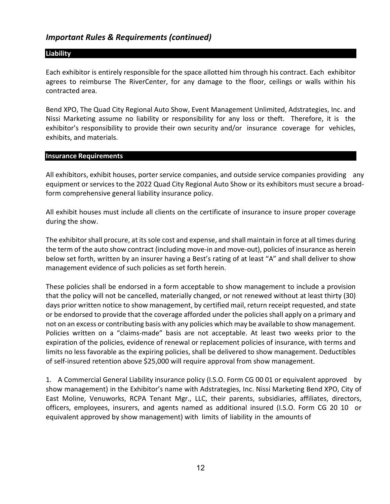# *Important Rules & Requirements (continued)*

#### **Liability**

Each exhibitor is entirely responsible for the space allotted him through his contract. Each exhibitor agrees to reimburse The RiverCenter, for any damage to the floor, ceilings or walls within his contracted area.

Bend XPO, The Quad City Regional Auto Show, Event Management Unlimited, Adstrategies, Inc. and Nissi Marketing assume no liability or responsibility for any loss or theft. Therefore, it is the exhibitor's responsibility to provide their own security and/or insurance coverage for vehicles, exhibits, and materials.

#### **Insurance Requirements**

All exhibitors, exhibit houses, porter service companies, and outside service companies providing any equipment or services to the 2022 Quad City Regional Auto Show or its exhibitors must secure a broadform comprehensive general liability insurance policy.

All exhibit houses must include all clients on the certificate of insurance to insure proper coverage during the show.

The exhibitor shall procure, at its sole cost and expense, and shall maintain in force at all times during the term of the auto show contract (including move-in and move-out), policies of insurance as herein below set forth, written by an insurer having a Best's rating of at least "A" and shall deliver to show management evidence of such policies as set forth herein.

These policies shall be endorsed in a form acceptable to show management to include a provision that the policy will not be cancelled, materially changed, or not renewed without at least thirty (30) days prior written notice to show management, by certified mail, return receipt requested, and state or be endorsed to provide that the coverage afforded under the policies shall apply on a primary and not on an excess or contributing basis with any policies which may be available to show management. Policies written on a "claims-made" basis are not acceptable. At least two weeks prior to the expiration of the policies, evidence of renewal or replacement policies of insurance, with terms and limits no less favorable as the expiring policies, shall be delivered to show management. Deductibles of self-insured retention above \$25,000 will require approval from show management.

1. A Commercial General Liability insurance policy (I.S.O. Form CG 00 01 or equivalent approved by show management) in the Exhibitor's name with Adstrategies, Inc. Nissi Marketing Bend XPO, City of East Moline, Venuworks, RCPA Tenant Mgr., LLC, their parents, subsidiaries, affiliates, directors, officers, employees, insurers, and agents named as additional insured (I.S.O. Form CG 20 10 or equivalent approved by show management) with limits of liability in the amounts of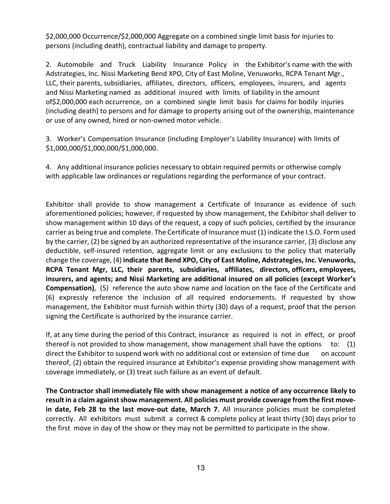\$2,000,000 Occurrence/\$2,000,000 Aggregate on a combined single limit basis for injuries to persons (including death), contractual liability and damage to property.

2. Automobile and Truck Liability Insurance Policy in the Exhibitor's name with the with Adstrategies, Inc. Nissi Marketing Bend XPO, City of East Moline, Venuworks, RCPA Tenant Mgr., LLC, their parents, subsidiaries, affiliates, directors, officers, employees, insurers, and agents and Nissi Marketing named as additional insured with limits of liability in the amount of\$2,000,000 each occurrence, on a combined single limit basis for claims for bodily injuries (including death) to persons and for damage to property arising out of the ownership, maintenance or use of any owned, hired or non-owned motor vehicle.

3. Worker's Compensation Insurance (including Employer's Liability Insurance) with limits of \$1,000,000/\$1,000,000/\$1,000,000.

4. Any additional insurance policies necessary to obtain required permits or otherwise comply with applicable law ordinances or regulations regarding the performance of your contract.

Exhibitor shall provide to show management a Certificate of Insurance as evidence of such aforementioned policies; however, if requested by show management, the Exhibitor shall deliver to show management within 10 days of the request, a copy of such policies, certified by the insurance carrier as being true and complete. The Certificate of Insurance must (1) indicate the I.S.O. Form used by the carrier, (2) be signed by an authorized representative of the insurance carrier, (3) disclose any deductible, self-insured retention, aggregate limit or any exclusions to the policy that materially change the coverage, (4) **indicate that Bend XPO, City of East Moline, Adstrategies, Inc. Venuworks, RCPA Tenant Mgr, LLC, their parents, subsidiaries, affiliates, directors, officers, employees, insurers, and agents; and Nissi Marketing are additional insured on all policies (except Worker's Compensation)**, (5) reference the auto show name and location on the face of the Certificate and (6) expressly reference the inclusion of all required endorsements. If requested by show management, the Exhibitor must furnish within thirty (30) days of a request, proof that the person signing the Certificate is authorized by the insurance carrier.

If, at any time during the period of this Contract, insurance as required is not in effect, or proof thereof is not provided to show management, show management shall have the options to: (1) direct the Exhibitor to suspend work with no additional cost or extension of time due on account thereof, (2) obtain the required insurance at Exhibitor's expense providing show management with coverage immediately, or (3) treat such failure as an event of default.

**The Contractor shall immediately file with show management a notice of any occurrence likely to result in a claim against show management. All policies must provide coverage from the first movein date, Feb 28 to the last move-out date, March 7.** All insurance policies must be completed correctly. All exhibitors must submit a correct & complete policy at least thirty (30) days prior to the first move in day of the show or they may not be permitted to participate in the show.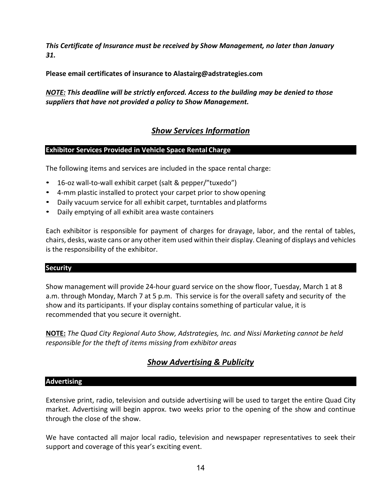*This Certificate of Insurance must be received by Show Management, no later than January 31.*

**Please email certificates of insurance to Alastairg@adstrategies.com**

*NOTE: This deadline will be strictly enforced. Access to the building may be denied to those suppliers that have not provided a policy to Show Management.*

# *Show Services Information*

# **Exhibitor Services Provided in Vehicle Space Rental Charge**

The following items and services are included in the space rental charge:

- 16-oz wall-to-wall exhibit carpet (salt & pepper/"tuxedo")
- 4-mm plastic installed to protect your carpet prior to show opening
- Daily vacuum service for all exhibit carpet, turntables and platforms
- Daily emptying of all exhibit area waste containers

Each exhibitor is responsible for payment of charges for drayage, labor, and the rental of tables, chairs, desks, waste cans or any other item used within their display. Cleaning of displays and vehicles is the responsibility of the exhibitor.

#### **Security**

Show management will provide 24-hour guard service on the show floor, Tuesday, March 1 at 8 a.m. through Monday, March 7 at 5 p.m. This service is for the overall safety and security of the show and its participants. If your display contains something of particular value, it is recommended that you secure it overnight.

**NOTE:** *The Quad City Regional Auto Show, Adstrategies, Inc. and Nissi Marketing cannot be held responsible for the theft of items missing from exhibitor areas*

# *Show Advertising & Publicity*

# **Advertising**

Extensive print, radio, television and outside advertising will be used to target the entire Quad City market. Advertising will begin approx. two weeks prior to the opening of the show and continue through the close of the show.

We have contacted all major local radio, television and newspaper representatives to seek their support and coverage of this year's exciting event.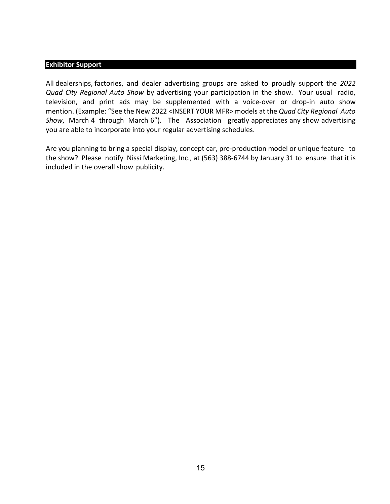#### **Exhibitor Support**

All dealerships, factories, and dealer advertising groups are asked to proudly support the *2022 Quad City Regional Auto Show* by advertising your participation in the show. Your usual radio, television, and print ads may be supplemented with a voice-over or drop-in auto show mention. (Example: "See the New 2022 <INSERT YOUR MFR> models at the *Quad City Regional Auto Show*, March 4 through March 6"). The Association greatly appreciates any show advertising you are able to incorporate into your regular advertising schedules.

Are you planning to bring a special display, concept car, pre-production model or unique feature to the show? Please notify Nissi Marketing, Inc., at (563) 388-6744 by January 31 to ensure that it is included in the overall show publicity.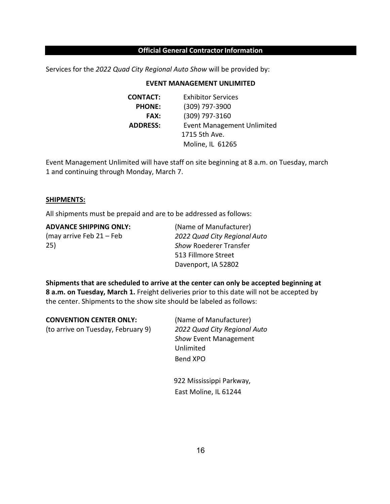#### **Official General Contractor Information**

Services for the *2022 Quad City Regional Auto Show* will be provided by:

#### **EVENT MANAGEMENT UNLIMITED**

| <b>CONTACT:</b> | <b>Exhibitor Services</b>         |
|-----------------|-----------------------------------|
| <b>PHONE:</b>   | (309) 797-3900                    |
| <b>FAX:</b>     | (309) 797-3160                    |
| <b>ADDRESS:</b> | <b>Event Management Unlimited</b> |
|                 | 1715 5th Ave.                     |
|                 | Moline, IL 61265                  |

Event Management Unlimited will have staff on site beginning at 8 a.m. on Tuesday, march 1 and continuing through Monday, March 7.

#### **SHIPMENTS:**

All shipments must be prepaid and are to be addressed as follows:

**ADVANCE SHIPPING ONLY:** (may arrive Feb 21 – Feb 25)

(Name of Manufacturer) *2022 Quad City Regional Auto Show* Roederer Transfer 513 Fillmore Street Davenport, IA 52802

**Shipments that are scheduled to arrive at the center can only be accepted beginning at 8 a.m. on Tuesday, March 1.** Freight deliveries prior to this date will not be accepted by the center. Shipments to the show site should be labeled as follows:

| <b>CONVENTION CENTER ONLY:</b>     | (Name of Manufacturer)       |
|------------------------------------|------------------------------|
| (to arrive on Tuesday, February 9) | 2022 Quad City Regional Auto |
|                                    | <b>Show Event Management</b> |
|                                    | Unlimited                    |
|                                    | Bend XPO                     |
|                                    | 922 Mississippi Parkway.     |

ssissippi Parkway, East Moline, IL 61244